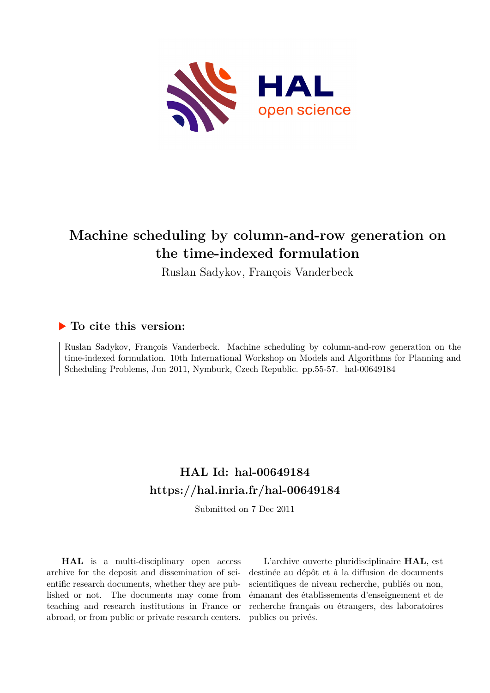

# **Machine scheduling by column-and-row generation on the time-indexed formulation**

Ruslan Sadykov, François Vanderbeck

## **To cite this version:**

Ruslan Sadykov, François Vanderbeck. Machine scheduling by column-and-row generation on the time-indexed formulation. 10th International Workshop on Models and Algorithms for Planning and Scheduling Problems, Jun 2011, Nymburk, Czech Republic. pp.55-57. hal-00649184

# **HAL Id: hal-00649184 <https://hal.inria.fr/hal-00649184>**

Submitted on 7 Dec 2011

**HAL** is a multi-disciplinary open access archive for the deposit and dissemination of scientific research documents, whether they are published or not. The documents may come from teaching and research institutions in France or abroad, or from public or private research centers.

L'archive ouverte pluridisciplinaire **HAL**, est destinée au dépôt et à la diffusion de documents scientifiques de niveau recherche, publiés ou non, émanant des établissements d'enseignement et de recherche français ou étrangers, des laboratoires publics ou privés.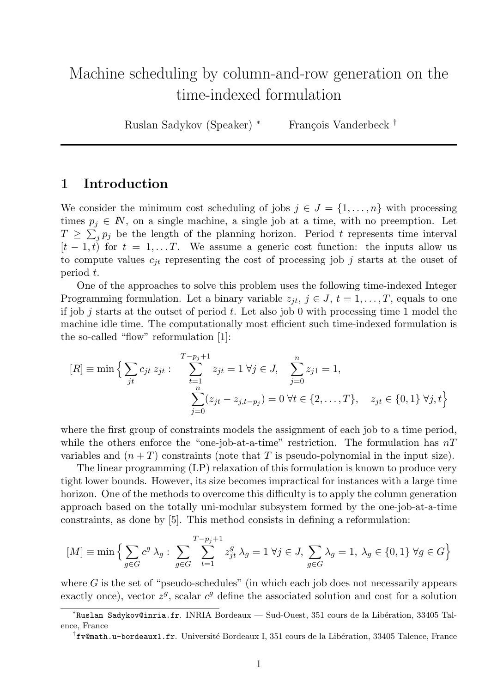# Machine scheduling by column-and-row generation on the time-indexed formulation

Ruslan Sadykov (Speaker) <sup>∗</sup> François Vanderbeck <sup>†</sup>

#### 1 Introduction

We consider the minimum cost scheduling of jobs  $j \in J = \{1, \ldots, n\}$  with processing times  $p_i \in \mathbb{N}$ , on a single machine, a single job at a time, with no preemption. Let  $T \geq \sum_j p_j$  be the length of the planning horizon. Period t represents time interval  $[t-1, t)$  for  $t = 1, \ldots T$ . We assume a generic cost function: the inputs allow us to compute values  $c_{jt}$  representing the cost of processing job j starts at the ouset of period t.

One of the approaches to solve this problem uses the following time-indexed Integer Programming formulation. Let a binary variable  $z_{it}$ ,  $j \in J$ ,  $t = 1, \ldots, T$ , equals to one if job j starts at the outset of period t. Let also job 0 with processing time 1 model the machine idle time. The computationally most efficient such time-indexed formulation is the so-called "flow" reformulation [1]:

$$
[R] \equiv \min \Big\{ \sum_{jt} c_{jt} z_{jt} : \sum_{\substack{t=1 \ p_0 = 0}}^{T-p_j+1} z_{jt} = 1 \ \forall j \in J, \sum_{j=0}^{n} z_{j1} = 1, \\ \sum_{j=0}^{n} (z_{jt} - z_{j,t-p_j}) = 0 \ \forall t \in \{2, \dots, T\}, \quad z_{jt} \in \{0, 1\} \ \forall j, t \Big\}
$$

where the first group of constraints models the assignment of each job to a time period, while the others enforce the "one-job-at-a-time" restriction. The formulation has  $nT$ variables and  $(n+T)$  constraints (note that T is pseudo-polynomial in the input size).

The linear programming (LP) relaxation of this formulation is known to produce very tight lower bounds. However, its size becomes impractical for instances with a large time horizon. One of the methods to overcome this difficulty is to apply the column generation approach based on the totally uni-modular subsystem formed by the one-job-at-a-time constraints, as done by [5]. This method consists in defining a reformulation:

$$
[M] \equiv \min \Big\{ \sum_{g \in G} c^g \lambda_g : \sum_{g \in G} \sum_{t=1}^{T-p_j+1} z_{jt}^g \lambda_g = 1 \; \forall j \in J, \sum_{g \in G} \lambda_g = 1, \; \lambda_g \in \{0,1\} \; \forall g \in G \Big\}
$$

where  $G$  is the set of "pseudo-schedules" (in which each job does not necessarily appears exactly once), vector  $z^g$ , scalar  $c^g$  define the associated solution and cost for a solution

<sup>\*</sup>Ruslan Sadykov@inria.fr. INRIA Bordeaux — Sud-Ouest, 351 cours de la Libération, 33405 Talence, France

<sup>†</sup>fv@math.u-bordeaux1.fr. Université Bordeaux I, 351 cours de la Libération, 33405 Talence, France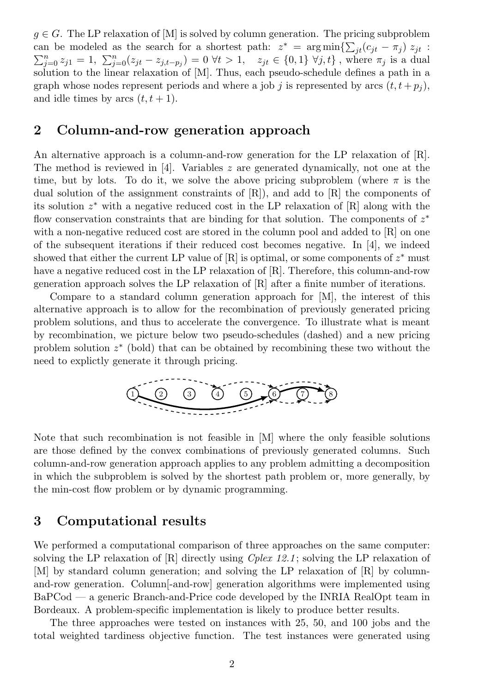$g \in G$ . The LP relaxation of [M] is solved by column generation. The pricing subproblem can be modeled as the search for a shortest path:  $z^* = \arg \min \{\sum_{jt} (c_{jt} - \pi_j) z_{jt} :$  $\sum_{j=0}^{n} z_{j1} = 1, \ \sum_{j=0}^{n} (z_{jt} - z_{j,t-p_j}) = 0 \ \forall t > 1, \quad z_{jt} \in \{0,1\} \ \forall j,t\},\$  where  $\pi_j$  is a dual solution to the linear relaxation of [M]. Thus, each pseudo-schedule defines a path in a graph whose nodes represent periods and where a job j is represented by arcs  $(t, t + p_i)$ , and idle times by arcs  $(t, t + 1)$ .

### 2 Column-and-row generation approach

An alternative approach is a column-and-row generation for the LP relaxation of [R]. The method is reviewed in  $[4]$ . Variables z are generated dynamically, not one at the time, but by lots. To do it, we solve the above pricing subproblem (where  $\pi$  is the dual solution of the assignment constraints of  $[R]$ , and add to  $[R]$  the components of its solution z <sup>∗</sup> with a negative reduced cost in the LP relaxation of [R] along with the flow conservation constraints that are binding for that solution. The components of  $z^*$ with a non-negative reduced cost are stored in the column pool and added to  $[R]$  on one of the subsequent iterations if their reduced cost becomes negative. In [4], we indeed showed that either the current LP value of  $[R]$  is optimal, or some components of  $z^*$  must have a negative reduced cost in the LP relaxation of [R]. Therefore, this column-and-row generation approach solves the LP relaxation of [R] after a finite number of iterations.

Compare to a standard column generation approach for [M], the interest of this alternative approach is to allow for the recombination of previously generated pricing problem solutions, and thus to accelerate the convergence. To illustrate what is meant by recombination, we picture below two pseudo-schedules (dashed) and a new pricing problem solution  $z^*$  (bold) that can be obtained by recombining these two without the need to explictly generate it through pricing.



Note that such recombination is not feasible in [M] where the only feasible solutions are those defined by the convex combinations of previously generated columns. Such column-and-row generation approach applies to any problem admitting a decomposition in which the subproblem is solved by the shortest path problem or, more generally, by the min-cost flow problem or by dynamic programming.

#### 3 Computational results

We performed a computational comparison of three approaches on the same computer: solving the LP relaxation of  $\mathbb{R}$  directly using *Cplex 12.1*; solving the LP relaxation of [M] by standard column generation; and solving the LP relaxation of [R] by columnand-row generation. Column[-and-row] generation algorithms were implemented using BaPCod — a generic Branch-and-Price code developed by the INRIA RealOpt team in Bordeaux. A problem-specific implementation is likely to produce better results.

The three approaches were tested on instances with 25, 50, and 100 jobs and the total weighted tardiness objective function. The test instances were generated using